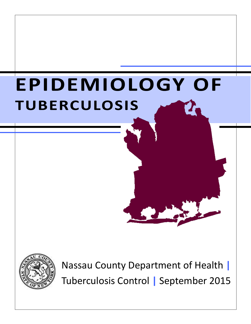# **EPIDEMIOLOGY OF TUBERCULOSIS**



Nassau County Department of Health **|**  Tuberculosis Control **|** September 2015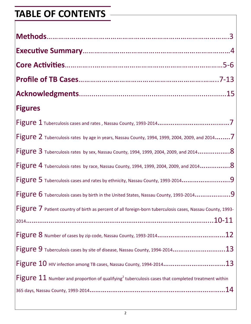# **TABLE OF CONTENTS**

| <b>Figures</b>                                                                                                   |
|------------------------------------------------------------------------------------------------------------------|
|                                                                                                                  |
| Figure 2 Tuberculosis rates by age in years, Nassau County, 1994, 1999, 2004, 2009, and 20147                    |
|                                                                                                                  |
| Figure 4 Tuberculosis rates by race, Nassau County, 1994, 1999, 2004, 2009, and 20148                            |
| Figure 5 Tuberculosis cases and rates by ethnicity, Nassau County, 1993-20149                                    |
| Figure 6 Tuberculosis cases by birth in the United States, Nassau County, 1993-20149                             |
| <b>Figure 7</b> Patient country of birth as percent of all foreign-born tuberculosis cases, Nassau County, 1993- |
|                                                                                                                  |
|                                                                                                                  |
| Figure 9 Tuberculosis cases by site of disease, Nassau County, 1994-201413                                       |
| Figure $10$ HIV infection among TB cases, Nassau County, 1994-201413                                             |
| Figure $11$ Number and proportion of qualifying <sup>2</sup> tuberculosis cases that completed treatment within  |
|                                                                                                                  |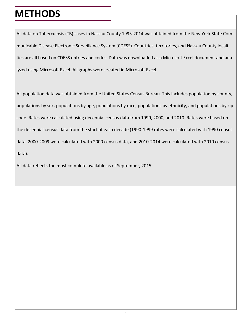#### **METHODS**

All data on Tuberculosis (TB) cases in Nassau County 1993-2014 was obtained from the New York State Communicable Disease Electronic Surveillance System (CDESS). Countries, territories, and Nassau County localities are all based on CDESS entries and codes. Data was downloaded as a Microsoft Excel document and analyzed using Microsoft Excel. All graphs were created in Microsoft Excel.

All population data was obtained from the United States Census Bureau. This includes population by county, populations by sex, populations by age, populations by race, populations by ethnicity, and populations by zip code. Rates were calculated using decennial census data from 1990, 2000, and 2010. Rates were based on the decennial census data from the start of each decade (1990-1999 rates were calculated with 1990 census data, 2000-2009 were calculated with 2000 census data, and 2010-2014 were calculated with 2010 census data).

All data reflects the most complete available as of September, 2015.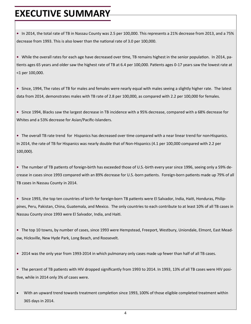#### **EXECUTIVE SUMMARY**

**•** In 2014, the total rate of TB in Nassau County was 2.5 per 100,000. This represents a 21% decrease from 2013, and a 75% decrease from 1993. This is also lower than the national rate of 3.0 per 100,000.

**•** While the overall rates for each age have decreased over time, TB remains highest in the senior population. In 2014, patients ages 65 years and older saw the highest rate of TB at 6.4 per 100,000. Patients ages 0-17 years saw the lowest rate at <1 per 100,000.

**•** Since, 1994, The rates of TB for males and females were nearly equal with males seeing a slightly higher rate. The latest data from 2014, demonstrates males with TB rate of 2.8 per 100,000, as compared with 2.2 per 100,000 for females.

**•** Since 1994, Blacks saw the largest decrease in TB incidence with a 95% decrease, compared with a 68% decrease for Whites and a 53% decrease for Asian/Pacific-Islanders.

**•** The overall TB rate trend for Hispanics has decreased over time compared with a near linear trend for non-Hispanics. In 2014, the rate of TB for Hispanics was nearly double that of Non-Hispanics (4.1 per 100,000 compared with 2.2 per 100,000).

**•** The number of TB patients of foreign-birth has exceeded those of U.S.-birth every year since 1996, seeing only a 59% decrease in cases since 1993 compared with an 89% decrease for U.S.-born patients. Foreign-born patients made up 79% of all TB cases in Nassau County in 2014.

**•** Since 1993, the top ten countries of birth for foreign-born TB patients were El Salvador, India, Haiti, Honduras, Philippines, Peru, Pakistan, China, Guatemala, and Mexico. The only countries to each contribute to at least 10% of all TB cases in Nassau County since 1993 were El Salvador, India, and Haiti.

**•** The top 10 towns, by number of cases, since 1993 were Hempstead, Freeport, Westbury, Uniondale, Elmont, East Meadow, Hicksville, New Hyde Park, Long Beach, and Roosevelt.

**•** 2014 was the only year from 1993-2014 in which pulmonary only cases made up fewer than half of all TB cases.

**•** The percent of TB patients with HIV dropped significantly from 1993 to 2014. In 1993, 13% of all TB cases were HIV positive, while in 2014 only 3% of cases were.

 With an upward trend towards treatment completion since 1993, 100% of those eligible completed treatment within 365 days in 2014.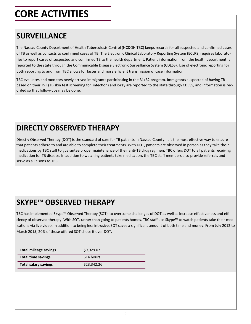# **CORE ACTIVITIES**

#### **SURVEILLANCE**

The Nassau County Department of Health Tuberculosis Control (NCDOH TBC) keeps records for all suspected and confirmed cases of TB as well as contacts to confirmed cases of TB. The Electronic Clinical Laboratory Reporting System (ECLRS) requires laboratories to report cases of suspected and confirmed TB to the health department. Patient information from the health department is reported to the state through the Communicable Disease Electronic Surveillance System (CDESS). Use of electronic reporting for both reporting to and from TBC allows for faster and more efficient transmission of case information.

TBC evaluates and monitors newly arrived immigrants participating in the B1/B2 program. Immigrants suspected of having TB based on their TST (TB skin test screening for infection) and x-ray are reported to the state through CDESS, and information is recorded so that follow-ups may be done.

#### **DIRECTLY OBSERVED THERAPY**

Directly Observed Therapy (DOT) is the standard of care for TB patients in Nassau County. It is the most effective way to ensure that patients adhere to and are able to complete their treatments. With DOT, patients are observed in person as they take their medications by TBC staff to guarantee proper maintenance of their anti-TB drug regimen. TBC offers DOT to all patients receiving medication for TB disease. In addition to watching patients take medication, the TBC staff members also provide referrals and serve as a liaisons to TBC.

#### **SKYPE**™ **OBSERVED THERAPY**

TBC has implemented Skype™ Observed Therapy (SOT) to overcome challenges of DOT as well as increase effectiveness and efficiency of observed therapy. With SOT, rather than going to patients homes, TBC staff use Skype™ to watch patients take their medications via live video. In addition to being less intrusive, SOT saves a significant amount of both time and money. From July 2012 to March 2015, 20% of those offered SOT chose it over DOT.

| <b>Total mileage savings</b> | S9.929.07   |
|------------------------------|-------------|
| <b>Total time savings</b>    | 614 hours   |
| <b>Total salary savings</b>  | \$23,342.26 |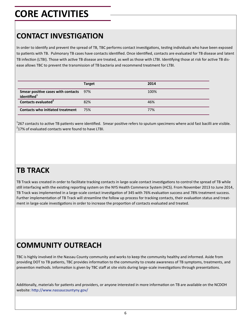# **CORE ACTIVITIES**

#### **CONTACT INVESTIGATION**

In order to identify and prevent the spread of TB, TBC performs contact investigations, testing individuals who have been exposed to patients with TB. Pulmonary TB cases have contacts identified. Once identified, contacts are evaluated for TB disease and latent TB infection (LTBI). Those with active TB disease are treated, as well as those with LTBI. Identifying those at risk for active TB disease allows TBC to prevent the transmission of TB bacteria and recommend treatment for LTBI.

|                                                                          | <b>Target</b> | 2014 |
|--------------------------------------------------------------------------|---------------|------|
| <b>Smear positive cases with contacts</b> 97%<br>identified <sup>1</sup> |               | 100% |
| Contacts evaluated <sup>2</sup>                                          | 82%           | 46%  |
| <b>Contacts who initiated treatment</b>                                  | 75%           | 77%  |

 $^{1}$ 267 contacts to active TB patients were identified. Smear positive refers to sputum specimens where acid fast bacilli are visible.  $2$ 17% of evaluated contacts were found to have LTBI.

#### **TB TRACK**

TB Track was created in order to facilitate tracking contacts in large-scale contact investigations to control the spread of TB while still interfacing with the existing reporting system on the NYS Health Commerce System (HCS). From November 2013 to June 2014, TB Track was implemented in a large-scale contact investigation of 345 with 76% evaluation success and 78% treatment success. Further implementation of TB Track will streamline the follow up process for tracking contacts, their evaluation status and treatment in large-scale investigations in order to increase the proportion of contacts evaluated and treated.

#### **COMMUNITY OUTREACH**

TBC is highly involved in the Nassau County community and works to keep the community healthy and informed. Aside from providing DOT to TB patients, TBC provides information to the community to create awareness of TB symptoms, treatments, and prevention methods. Information is given by TBC staff at site visits during large-scale investigations through presentations.

Additionally, materials for patients and providers, or anyone interested in more information on TB are available on the NCDOH website: http://www.nassaucountyny.gov/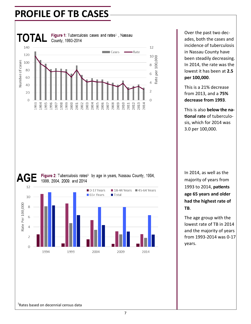

Over the past two decades, both the cases and incidence of tuberculosis in Nassau County have been steadily decreasing. In 2014, the rate was the lowest it has been at **2.5 per 100,000**.

This is a 21% decrease from 2013, and a **75% decrease from 1993**.

This is also **below the national rate** of tuberculosis, which for 2014 was 3.0 per 100,000.

In 2014, as well as the majority of years from 1993 to 2014, **patients age 65 years and older had the highest rate of TB**.

The age group with the lowest rate of TB in 2014 and the majority of years from 1993-2014 was 0-17 years.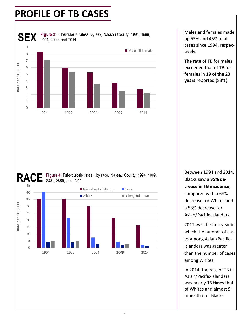

Males and females made up 55% and 45% of all cases since 1994, respectively.

The rate of TB for males exceeded that of TB for females in **19 of the 23 years** reported (83%).





Between 1994 and 2014, Blacks saw a **95% decrease in TB incidence**, compared with a 68% decrease for Whites and a 53% decrease for Asian/Pacific-Islanders.

2011 was the first year in which the number of cases among Asian/Pacific-Islanders was greater than the number of cases among Whites.

In 2014, the rate of TB in Asian/Pacific-Islanders was nearly **13 times** that of Whites and almost 9 times that of Blacks.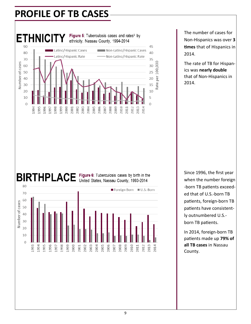

The number of cases for Non-Hispanics was over **3 times** that of Hispanics in 2014.

The rate of TB for Hispanics was **nearly double**  that of Non-Hispanics in 2014.

# BIRTHPLACE Figure 6: Tuberculosis cases by birth in the



Since 1996, the first year when the number foreign -born TB patients exceeded that of U.S.-born TB patients, foreign-born TB patients have consistently outnumbered U.S. born TB patients.

In 2014, foreign-born TB patients made up **79% of all TB cases** in Nassau County.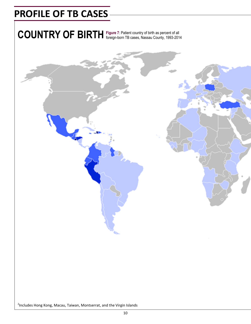COUNTRY OF BIRTH Figure 7: Patient country of birth as percent of all

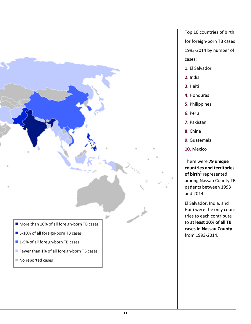

- **1.** El Salvador
- **2.** India
- **3.** Haiti
- **4.** Honduras
- **5.** Philippines
- **6.** Peru
- **7.** Pakistan
- **8.** China
- **9.** Guatemala
- **10.** Mexico

There were **79 unique countries and territories of birth<sup>2</sup>** represented among Nassau County TB patients between 1993 and 2014.

El Salvador, India, and Haiti were the only countries to each contribute to **at least 10% of all TB cases in Nassau County**  from 1993-2014.

- More than 10% of all foreign-born TB cases
- 5-10% of all foreign-born TB cases
- 1-5% of all foreign-born TB cases
- Fewer than 1% of all foreign-born TB cases
- No reported cases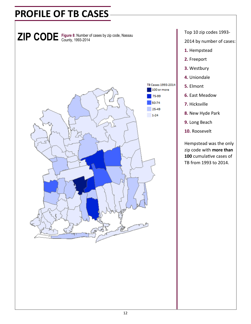

Top 10 zip codes 1993-

2014 by number of cases:

- **1.** Hempstead
- **2.** Freeport
- **3.** Westbury
- **4.** Uniondale
- **5.** Elmont
- **6.** East Meadow
- **7.** Hicksville
- **8.** New Hyde Park
- **9.** Long Beach
- **10.** Roosevelt

Hempstead was the only zip code with **more than 100** cumulative cases of TB from 1993 to 2014.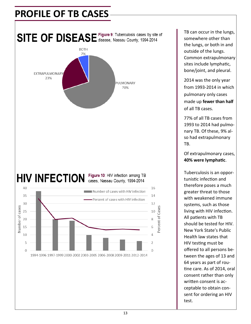

TB can occur in the lungs, somewhere other than the lungs, or both in and outside of the lungs. Common extrapulmonary sites include lymphatic, bone/joint, and pleural.

2014 was the only year from 1993-2014 in which pulmonary only cases made up **fewer than half**  of all TB cases.

77% of all TB cases from 1993 to 2014 had pulmonary TB. Of these, 9% also had extrapulmonary TB.

Of extrapulmonary cases, **40% were lymphatic**.

Tuberculosis is an opportunistic infection and therefore poses a much greater threat to those with weakened immune systems, such as those living with HIV infection. All patients with TB should be tested for HIV. New York State's Public Health law states that HIV testing must be offered to all persons between the ages of 13 and 64 years as part of routine care. As of 2014, oral consent rather than only written consent is acceptable to obtain consent for ordering an HIV test.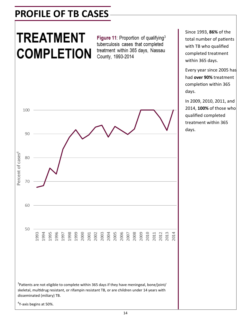# **TREATMENT COMPLETION**

Figure 11: Proportion of qualifying<sup>3</sup> tuberculosis cases that completed treatment within 365 days, Nassau County, 1993-2014



 $3$ Patients are not eligible to complete within 365 days if they have meningeal, bone/joint/ skeletal, multidrug resistant, or rifampin resistant TB, or are children under 14 years with disseminated (miliary) TB.

<sup>4</sup>Y-axis begins at 50%.

Every year since 2005 has had **over 90%** treatment completion within 365 days.

In 2009, 2010, 2011, and 2014, **100%** of those who qualified completed treatment within 365 days.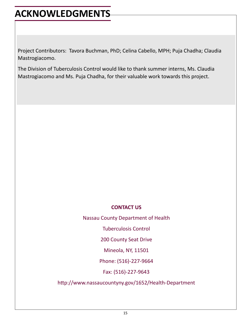## **ACKNOWLEDGMENTS**

Project Contributors: Tavora Buchman, PhD; Celina Cabello, MPH; Puja Chadha; Claudia Mastrogiacomo.

The Division of Tuberculosis Control would like to thank summer interns, Ms. Claudia Mastrogiacomo and Ms. Puja Chadha, for their valuable work towards this project.

#### **CONTACT US**

Nassau County Department of Health

Tuberculosis Control

200 County Seat Drive

Mineola, NY, 11501

Phone: (516)-227-9664

Fax: (516)-227-9643

http://www.nassaucountyny.gov/1652/Health-Department